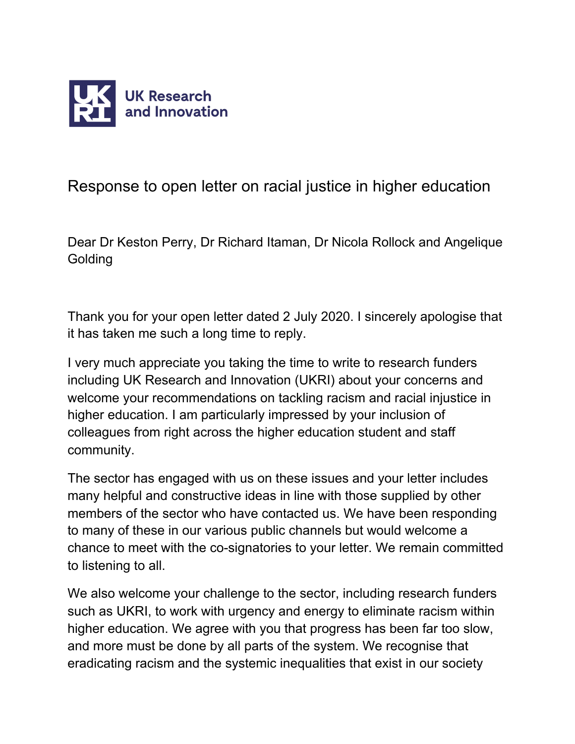

Response to open letter on racial justice in higher education

Dear Dr Keston Perry, Dr Richard Itaman, Dr Nicola Rollock and Angelique **Golding** 

Thank you for your open letter dated 2 July 2020. I sincerely apologise that it has taken me such a long time to reply.

I very much appreciate you taking the time to write to research funders including UK Research and Innovation (UKRI) about your concerns and welcome your recommendations on tackling racism and racial injustice in higher education. I am particularly impressed by your inclusion of colleagues from right across the higher education student and staff community.

The sector has engaged with us on these issues and your letter includes many helpful and constructive ideas in line with those supplied by other members of the sector who have contacted us. We have been responding to many of these in our various public channels but would welcome a chance to meet with the co-signatories to your letter. We remain committed to listening to all.

We also welcome your challenge to the sector, including research funders such as UKRI, to work with urgency and energy to eliminate racism within higher education. We agree with you that progress has been far too slow, and more must be done by all parts of the system. We recognise that eradicating racism and the systemic inequalities that exist in our society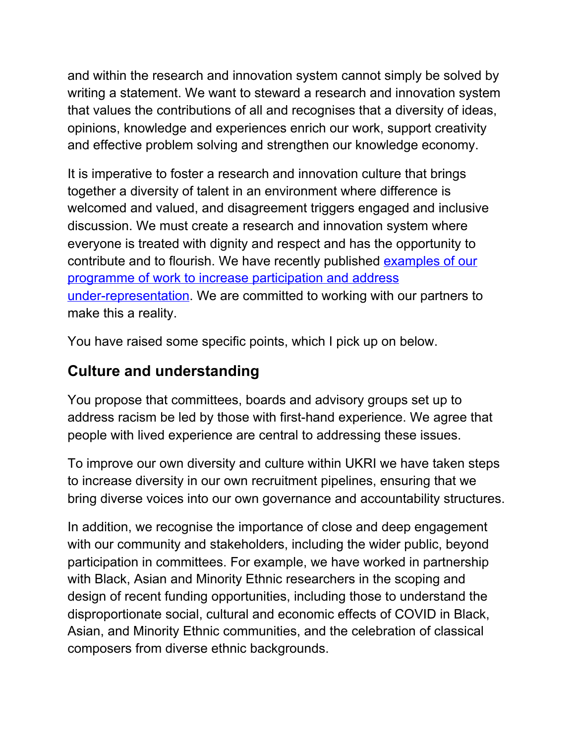and within the research and innovation system cannot simply be solved by writing a statement. We want to steward a research and innovation system that values the contributions of all and recognises that a diversity of ideas, opinions, knowledge and experiences enrich our work, support creativity and effective problem solving and strengthen our knowledge economy.

It is imperative to foster a research and innovation culture that brings together a diversity of talent in an environment where difference is welcomed and valued, and disagreement triggers engaged and inclusive discussion. We must create a research and innovation system where everyone is treated with dignity and respect and has the opportunity to contribute and to flourish. We have recently published [examples](https://www.ukri.org/our-work/supporting-healthy-research-and-innovation-culture/equality-diversity-and-inclusion/addressing-under-representation-and-active-participation/) of our programme of work to increase [participation](https://www.ukri.org/our-work/supporting-healthy-research-and-innovation-culture/equality-diversity-and-inclusion/addressing-under-representation-and-active-participation/) and address [under-representation.](https://www.ukri.org/our-work/supporting-healthy-research-and-innovation-culture/equality-diversity-and-inclusion/addressing-under-representation-and-active-participation/) We are committed to working with our partners to make this a reality.

You have raised some specific points, which I pick up on below.

## **Culture and understanding**

You propose that committees, boards and advisory groups set up to address racism be led by those with first-hand experience. We agree that people with lived experience are central to addressing these issues.

To improve our own diversity and culture within UKRI we have taken steps to increase diversity in our own recruitment pipelines, ensuring that we bring diverse voices into our own governance and accountability structures.

In addition, we recognise the importance of close and deep engagement with our community and stakeholders, including the wider public, beyond participation in committees. For example, we have worked in partnership with Black, Asian and Minority Ethnic researchers in the scoping and design of recent funding opportunities, including those to understand the disproportionate social, cultural and economic effects of COVID in Black, Asian, and Minority Ethnic communities, and the celebration of classical composers from diverse ethnic backgrounds.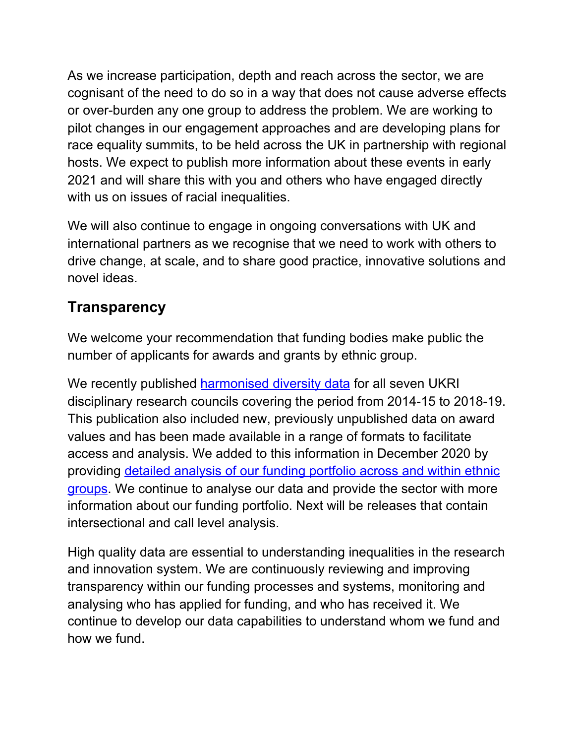As we increase participation, depth and reach across the sector, we are cognisant of the need to do so in a way that does not cause adverse effects or over-burden any one group to address the problem. We are working to pilot changes in our engagement approaches and are developing plans for race equality summits, to be held across the UK in partnership with regional hosts. We expect to publish more information about these events in early 2021 and will share this with you and others who have engaged directly with us on issues of racial inequalities.

We will also continue to engage in ongoing conversations with UK and international partners as we recognise that we need to work with others to drive change, at scale, and to share good practice, innovative solutions and novel ideas.

## **Transparency**

We welcome your recommendation that funding bodies make public the number of applicants for awards and grants by ethnic group.

We recently published [harmonised](http://ukri-020920-diversityresultsforukrifundingdata2014-19.pdf/) diversity data for all seven UKRI disciplinary research councils covering the period from 2014-15 to 2018-19. This publication also included new, previously unpublished data on award values and has been made available in a range of formats to facilitate access and analysis. We added to this information in December 2020 by providing detailed [analysis](https://www.ukri.org/wp-content/uploads/2020/12/UKRI-15122020-DetailedEthnicityAnalysisOfFundingApplicantsAndAwardees2014-15to2018-19.pdf) of our funding portfolio across and within ethnic [groups.](https://www.ukri.org/wp-content/uploads/2020/12/UKRI-15122020-DetailedEthnicityAnalysisOfFundingApplicantsAndAwardees2014-15to2018-19.pdf) We continue to analyse our data and provide the sector with more information about our funding portfolio. Next will be releases that contain intersectional and call level analysis.

High quality data are essential to understanding inequalities in the research and innovation system. We are continuously reviewing and improving transparency within our funding processes and systems, monitoring and analysing who has applied for funding, and who has received it. We continue to develop our data capabilities to understand whom we fund and how we fund.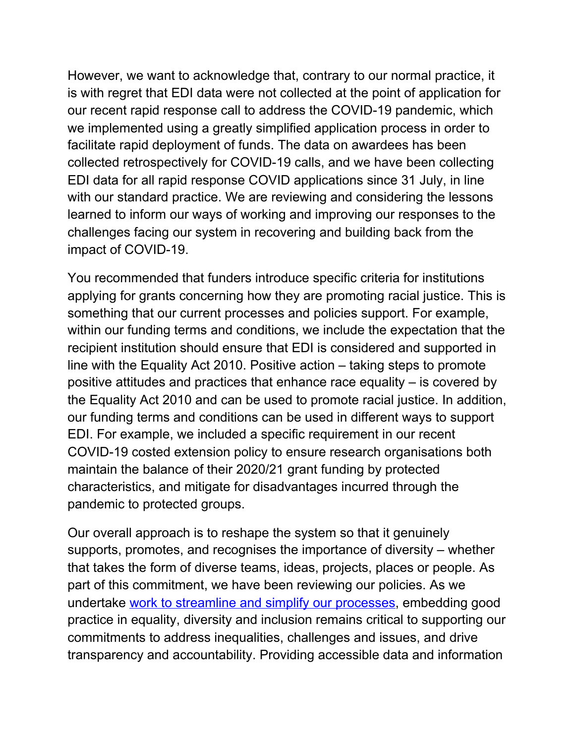However, we want to acknowledge that, contrary to our normal practice, it is with regret that EDI data were not collected at the point of application for our recent rapid response call to address the COVID-19 pandemic, which we implemented using a greatly simplified application process in order to facilitate rapid deployment of funds. The data on awardees has been collected retrospectively for COVID-19 calls, and we have been collecting EDI data for all rapid response COVID applications since 31 July, in line with our standard practice. We are reviewing and considering the lessons learned to inform our ways of working and improving our responses to the challenges facing our system in recovering and building back from the impact of COVID-19.

You recommended that funders introduce specific criteria for institutions applying for grants concerning how they are promoting racial justice. This is something that our current processes and policies support. For example, within our funding terms and conditions, we include the expectation that the recipient institution should ensure that EDI is considered and supported in line with the Equality Act 2010. Positive action – taking steps to promote positive attitudes and practices that enhance race equality – is covered by the Equality Act 2010 and can be used to promote racial justice. In addition, our funding terms and conditions can be used in different ways to support EDI. For example, we included a specific requirement in our recent COVID-19 costed extension policy to ensure research organisations both maintain the balance of their 2020/21 grant funding by protected characteristics, and mitigate for disadvantages incurred through the pandemic to protected groups.

Our overall approach is to reshape the system so that it genuinely supports, promotes, and recognises the importance of diversity – whether that takes the form of diverse teams, ideas, projects, places or people. As part of this commitment, we have been reviewing our policies. As we undertake work to streamline and simplify our [processes,](https://www.ukri.org/news/ukri-reducing-unnecessary-bureaucracy/) embedding good practice in equality, diversity and inclusion remains critical to supporting our commitments to address inequalities, challenges and issues, and drive transparency and accountability. Providing accessible data and information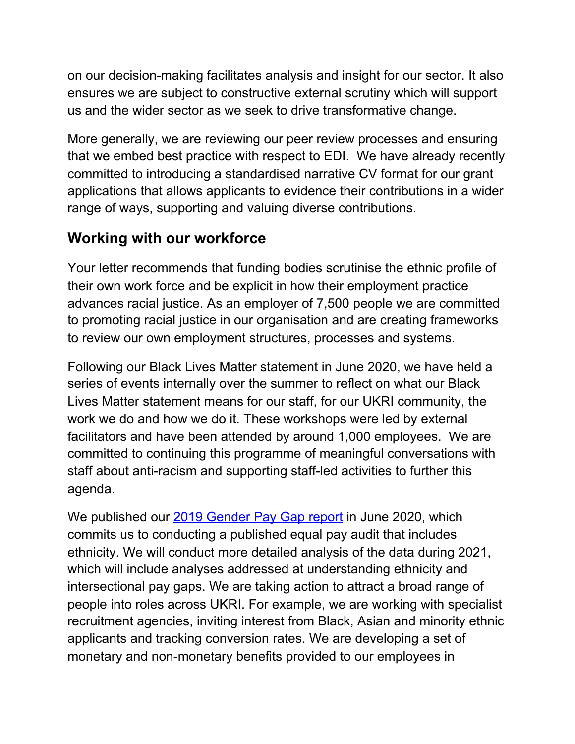on our decision-making facilitates analysis and insight for our sector. It also ensures we are subject to constructive external scrutiny which will support us and the wider sector as we seek to drive transformative change.

More generally, we are reviewing our peer review processes and ensuring that we embed best practice with respect to EDI. We have already recently committed to introducing a standardised narrative CV format for our grant applications that allows applicants to evidence their contributions in a wider range of ways, supporting and valuing diverse contributions.

## **Working with our workforce**

Your letter recommends that funding bodies scrutinise the ethnic profile of their own work force and be explicit in how their employment practice advances racial justice. As an employer of 7,500 people we are committed to promoting racial justice in our organisation and are creating frameworks to review our own employment structures, processes and systems.

Following our Black Lives Matter statement in June 2020, we have held a series of events internally over the summer to reflect on what our Black Lives Matter statement means for our staff, for our UKRI community, the work we do and how we do it. These workshops were led by external facilitators and have been attended by around 1,000 employees. We are committed to continuing this programme of meaningful conversations with staff about anti-racism and supporting staff-led activities to further this agenda.

We published our 2019 [Gender](https://www.ukri.org/files/about/policy/edi/gender-pay-gap-report-2019/) Pay Gap report in June 2020, which commits us to conducting a published equal pay audit that includes ethnicity. We will conduct more detailed analysis of the data during 2021, which will include analyses addressed at understanding ethnicity and intersectional pay gaps. We are taking action to attract a broad range of people into roles across UKRI. For example, we are working with specialist recruitment agencies, inviting interest from Black, Asian and minority ethnic applicants and tracking conversion rates. We are developing a set of monetary and non-monetary benefits provided to our employees in